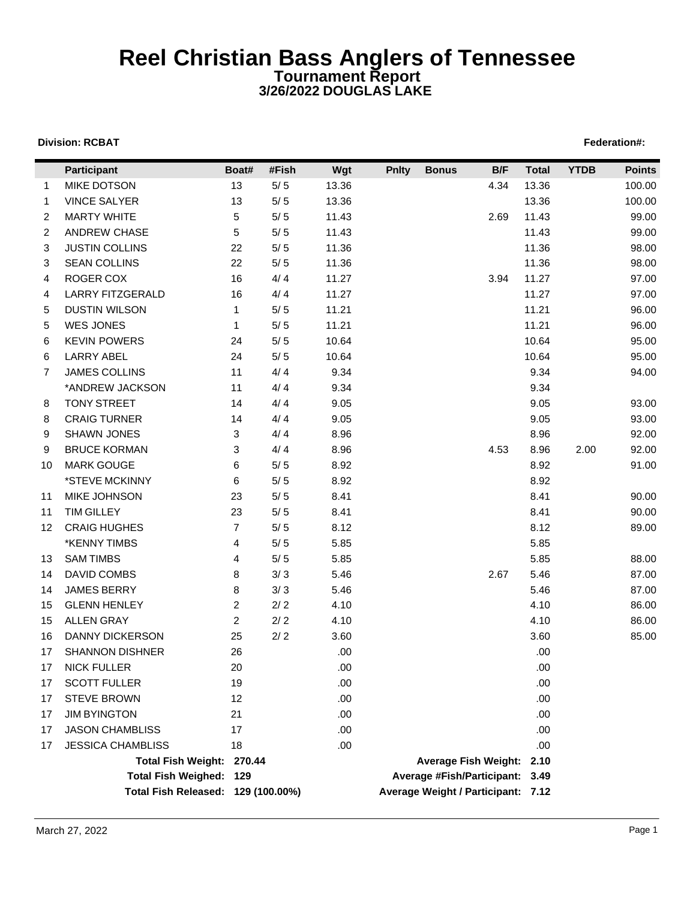## **Reel Christian Bass Anglers of Tennessee Tournament Report 3/26/2022 DOUGLAS LAKE**

## **Division: RCBAT** Federation#:

| 13<br>$5/5$<br>13.36<br>4.34<br>13.36<br><b>MIKE DOTSON</b><br>100.00<br>$\mathbf{1}$<br>$5/5$<br><b>VINCE SALYER</b><br>13<br>13.36<br>13.36<br>100.00<br>$\mathbf{1}$<br><b>MARTY WHITE</b><br>5<br>$5/5$<br>11.43<br>99.00<br>$\overline{2}$<br>11.43<br>2.69<br><b>ANDREW CHASE</b><br>5<br>$5/5$<br>11.43<br>11.43<br>99.00<br>2<br><b>JUSTIN COLLINS</b><br>22<br>$5/5$<br>11.36<br>11.36<br>98.00<br>3<br><b>SEAN COLLINS</b><br>22<br>$5/5$<br>11.36<br>11.36<br>98.00<br>3<br>ROGER COX<br>4/4<br>16<br>11.27<br>11.27<br>97.00<br>3.94<br>4<br>4/4<br><b>LARRY FITZGERALD</b><br>16<br>11.27<br>11.27<br>97.00<br>4<br><b>DUSTIN WILSON</b><br>$5/5$<br>11.21<br>11.21<br>96.00<br>5<br>$\mathbf{1}$<br><b>WES JONES</b><br>$5/5$<br>11.21<br>11.21<br>96.00<br>5<br>1<br><b>KEVIN POWERS</b><br>$5/5$<br>10.64<br>10.64<br>95.00<br>24<br>6<br>24<br>$5/5$<br>10.64<br>10.64<br>95.00<br><b>LARRY ABEL</b><br>6<br>4/4<br>9.34<br><b>JAMES COLLINS</b><br>11<br>9.34<br>94.00<br>7<br>9.34<br>*ANDREW JACKSON<br>11<br>4/4<br>9.34<br><b>TONY STREET</b><br>4/4<br>9.05<br>9.05<br>93.00<br>14<br>8<br>4/4<br><b>CRAIG TURNER</b><br>9.05<br>9.05<br>93.00<br>14<br>8<br>4/4<br><b>SHAWN JONES</b><br>8.96<br>8.96<br>92.00<br>3<br>9<br><b>BRUCE KORMAN</b><br>3<br>4/4<br>8.96<br>8.96<br>92.00<br>9<br>4.53<br>2.00<br><b>MARK GOUGE</b><br>6<br>$5/5$<br>8.92<br>8.92<br>91.00<br>10<br>*STEVE MCKINNY<br>6<br>$5/5$<br>8.92<br>8.92<br>MIKE JOHNSON<br>23<br>$5/5$<br>8.41<br>8.41<br>90.00<br>11<br><b>TIM GILLEY</b><br>23<br>$5/5$<br>8.41<br>8.41<br>90.00<br>11<br><b>CRAIG HUGHES</b><br>$\overline{7}$<br>$5/5$<br>8.12<br>8.12<br>89.00<br>12<br>$5/5$<br>*KENNY TIMBS<br>5.85<br>5.85<br>4<br>$5/5$<br><b>SAM TIMBS</b><br>5.85<br>5.85<br>88.00<br>4<br>13<br>8<br>$3/3$<br>5.46<br>87.00<br>DAVID COMBS<br>5.46<br>2.67<br>14<br><b>JAMES BERRY</b><br>8<br>3/3<br>5.46<br>5.46<br>87.00<br>14<br><b>GLENN HENLEY</b><br>2<br>$2/2$<br>4.10<br>4.10<br>86.00<br>15<br>$\overline{2}$<br>$2/2$<br><b>ALLEN GRAY</b><br>4.10<br>4.10<br>86.00<br>15<br><b>DANNY DICKERSON</b><br>25<br>$2/2$<br>3.60<br>3.60<br>85.00<br>16<br>26<br><b>SHANNON DISHNER</b><br>.00<br>.00<br>17<br><b>NICK FULLER</b><br>20<br>.00<br>.00<br>17<br><b>SCOTT FULLER</b><br>19<br>.00<br>.00<br>17<br><b>STEVE BROWN</b><br>12<br>.00<br>.00<br>17<br><b>JIM BYINGTON</b><br>21<br>.00<br>.00<br>17<br><b>JASON CHAMBLISS</b><br>17<br>.00<br>.00<br>17<br><b>JESSICA CHAMBLISS</b><br>18<br>.00.<br>.00<br>17<br>Total Fish Weight: 270.44<br>Average Fish Weight: 2.10<br>Total Fish Weighed: 129<br>Average #Fish/Participant: 3.49<br>Total Fish Released: 129 (100.00%)<br>Average Weight / Participant: 7.12 | Participant | Boat# | #Fish | Wgt | <b>Pnlty</b> | <b>Bonus</b> | B/F | <b>Total</b> | <b>YTDB</b> | <b>Points</b> |
|---------------------------------------------------------------------------------------------------------------------------------------------------------------------------------------------------------------------------------------------------------------------------------------------------------------------------------------------------------------------------------------------------------------------------------------------------------------------------------------------------------------------------------------------------------------------------------------------------------------------------------------------------------------------------------------------------------------------------------------------------------------------------------------------------------------------------------------------------------------------------------------------------------------------------------------------------------------------------------------------------------------------------------------------------------------------------------------------------------------------------------------------------------------------------------------------------------------------------------------------------------------------------------------------------------------------------------------------------------------------------------------------------------------------------------------------------------------------------------------------------------------------------------------------------------------------------------------------------------------------------------------------------------------------------------------------------------------------------------------------------------------------------------------------------------------------------------------------------------------------------------------------------------------------------------------------------------------------------------------------------------------------------------------------------------------------------------------------------------------------------------------------------------------------------------------------------------------------------------------------------------------------------------------------------------------------------------------------------------------------------------------------------------------------------------------------------------------------------------------------------------------------------------------------------------------------------------------------------------------------------------------------------------------------------------------------------------------------------|-------------|-------|-------|-----|--------------|--------------|-----|--------------|-------------|---------------|
|                                                                                                                                                                                                                                                                                                                                                                                                                                                                                                                                                                                                                                                                                                                                                                                                                                                                                                                                                                                                                                                                                                                                                                                                                                                                                                                                                                                                                                                                                                                                                                                                                                                                                                                                                                                                                                                                                                                                                                                                                                                                                                                                                                                                                                                                                                                                                                                                                                                                                                                                                                                                                                                                                                                           |             |       |       |     |              |              |     |              |             |               |
|                                                                                                                                                                                                                                                                                                                                                                                                                                                                                                                                                                                                                                                                                                                                                                                                                                                                                                                                                                                                                                                                                                                                                                                                                                                                                                                                                                                                                                                                                                                                                                                                                                                                                                                                                                                                                                                                                                                                                                                                                                                                                                                                                                                                                                                                                                                                                                                                                                                                                                                                                                                                                                                                                                                           |             |       |       |     |              |              |     |              |             |               |
|                                                                                                                                                                                                                                                                                                                                                                                                                                                                                                                                                                                                                                                                                                                                                                                                                                                                                                                                                                                                                                                                                                                                                                                                                                                                                                                                                                                                                                                                                                                                                                                                                                                                                                                                                                                                                                                                                                                                                                                                                                                                                                                                                                                                                                                                                                                                                                                                                                                                                                                                                                                                                                                                                                                           |             |       |       |     |              |              |     |              |             |               |
|                                                                                                                                                                                                                                                                                                                                                                                                                                                                                                                                                                                                                                                                                                                                                                                                                                                                                                                                                                                                                                                                                                                                                                                                                                                                                                                                                                                                                                                                                                                                                                                                                                                                                                                                                                                                                                                                                                                                                                                                                                                                                                                                                                                                                                                                                                                                                                                                                                                                                                                                                                                                                                                                                                                           |             |       |       |     |              |              |     |              |             |               |
|                                                                                                                                                                                                                                                                                                                                                                                                                                                                                                                                                                                                                                                                                                                                                                                                                                                                                                                                                                                                                                                                                                                                                                                                                                                                                                                                                                                                                                                                                                                                                                                                                                                                                                                                                                                                                                                                                                                                                                                                                                                                                                                                                                                                                                                                                                                                                                                                                                                                                                                                                                                                                                                                                                                           |             |       |       |     |              |              |     |              |             |               |
|                                                                                                                                                                                                                                                                                                                                                                                                                                                                                                                                                                                                                                                                                                                                                                                                                                                                                                                                                                                                                                                                                                                                                                                                                                                                                                                                                                                                                                                                                                                                                                                                                                                                                                                                                                                                                                                                                                                                                                                                                                                                                                                                                                                                                                                                                                                                                                                                                                                                                                                                                                                                                                                                                                                           |             |       |       |     |              |              |     |              |             |               |
|                                                                                                                                                                                                                                                                                                                                                                                                                                                                                                                                                                                                                                                                                                                                                                                                                                                                                                                                                                                                                                                                                                                                                                                                                                                                                                                                                                                                                                                                                                                                                                                                                                                                                                                                                                                                                                                                                                                                                                                                                                                                                                                                                                                                                                                                                                                                                                                                                                                                                                                                                                                                                                                                                                                           |             |       |       |     |              |              |     |              |             |               |
|                                                                                                                                                                                                                                                                                                                                                                                                                                                                                                                                                                                                                                                                                                                                                                                                                                                                                                                                                                                                                                                                                                                                                                                                                                                                                                                                                                                                                                                                                                                                                                                                                                                                                                                                                                                                                                                                                                                                                                                                                                                                                                                                                                                                                                                                                                                                                                                                                                                                                                                                                                                                                                                                                                                           |             |       |       |     |              |              |     |              |             |               |
|                                                                                                                                                                                                                                                                                                                                                                                                                                                                                                                                                                                                                                                                                                                                                                                                                                                                                                                                                                                                                                                                                                                                                                                                                                                                                                                                                                                                                                                                                                                                                                                                                                                                                                                                                                                                                                                                                                                                                                                                                                                                                                                                                                                                                                                                                                                                                                                                                                                                                                                                                                                                                                                                                                                           |             |       |       |     |              |              |     |              |             |               |
|                                                                                                                                                                                                                                                                                                                                                                                                                                                                                                                                                                                                                                                                                                                                                                                                                                                                                                                                                                                                                                                                                                                                                                                                                                                                                                                                                                                                                                                                                                                                                                                                                                                                                                                                                                                                                                                                                                                                                                                                                                                                                                                                                                                                                                                                                                                                                                                                                                                                                                                                                                                                                                                                                                                           |             |       |       |     |              |              |     |              |             |               |
|                                                                                                                                                                                                                                                                                                                                                                                                                                                                                                                                                                                                                                                                                                                                                                                                                                                                                                                                                                                                                                                                                                                                                                                                                                                                                                                                                                                                                                                                                                                                                                                                                                                                                                                                                                                                                                                                                                                                                                                                                                                                                                                                                                                                                                                                                                                                                                                                                                                                                                                                                                                                                                                                                                                           |             |       |       |     |              |              |     |              |             |               |
|                                                                                                                                                                                                                                                                                                                                                                                                                                                                                                                                                                                                                                                                                                                                                                                                                                                                                                                                                                                                                                                                                                                                                                                                                                                                                                                                                                                                                                                                                                                                                                                                                                                                                                                                                                                                                                                                                                                                                                                                                                                                                                                                                                                                                                                                                                                                                                                                                                                                                                                                                                                                                                                                                                                           |             |       |       |     |              |              |     |              |             |               |
|                                                                                                                                                                                                                                                                                                                                                                                                                                                                                                                                                                                                                                                                                                                                                                                                                                                                                                                                                                                                                                                                                                                                                                                                                                                                                                                                                                                                                                                                                                                                                                                                                                                                                                                                                                                                                                                                                                                                                                                                                                                                                                                                                                                                                                                                                                                                                                                                                                                                                                                                                                                                                                                                                                                           |             |       |       |     |              |              |     |              |             |               |
|                                                                                                                                                                                                                                                                                                                                                                                                                                                                                                                                                                                                                                                                                                                                                                                                                                                                                                                                                                                                                                                                                                                                                                                                                                                                                                                                                                                                                                                                                                                                                                                                                                                                                                                                                                                                                                                                                                                                                                                                                                                                                                                                                                                                                                                                                                                                                                                                                                                                                                                                                                                                                                                                                                                           |             |       |       |     |              |              |     |              |             |               |
|                                                                                                                                                                                                                                                                                                                                                                                                                                                                                                                                                                                                                                                                                                                                                                                                                                                                                                                                                                                                                                                                                                                                                                                                                                                                                                                                                                                                                                                                                                                                                                                                                                                                                                                                                                                                                                                                                                                                                                                                                                                                                                                                                                                                                                                                                                                                                                                                                                                                                                                                                                                                                                                                                                                           |             |       |       |     |              |              |     |              |             |               |
|                                                                                                                                                                                                                                                                                                                                                                                                                                                                                                                                                                                                                                                                                                                                                                                                                                                                                                                                                                                                                                                                                                                                                                                                                                                                                                                                                                                                                                                                                                                                                                                                                                                                                                                                                                                                                                                                                                                                                                                                                                                                                                                                                                                                                                                                                                                                                                                                                                                                                                                                                                                                                                                                                                                           |             |       |       |     |              |              |     |              |             |               |
|                                                                                                                                                                                                                                                                                                                                                                                                                                                                                                                                                                                                                                                                                                                                                                                                                                                                                                                                                                                                                                                                                                                                                                                                                                                                                                                                                                                                                                                                                                                                                                                                                                                                                                                                                                                                                                                                                                                                                                                                                                                                                                                                                                                                                                                                                                                                                                                                                                                                                                                                                                                                                                                                                                                           |             |       |       |     |              |              |     |              |             |               |
|                                                                                                                                                                                                                                                                                                                                                                                                                                                                                                                                                                                                                                                                                                                                                                                                                                                                                                                                                                                                                                                                                                                                                                                                                                                                                                                                                                                                                                                                                                                                                                                                                                                                                                                                                                                                                                                                                                                                                                                                                                                                                                                                                                                                                                                                                                                                                                                                                                                                                                                                                                                                                                                                                                                           |             |       |       |     |              |              |     |              |             |               |
|                                                                                                                                                                                                                                                                                                                                                                                                                                                                                                                                                                                                                                                                                                                                                                                                                                                                                                                                                                                                                                                                                                                                                                                                                                                                                                                                                                                                                                                                                                                                                                                                                                                                                                                                                                                                                                                                                                                                                                                                                                                                                                                                                                                                                                                                                                                                                                                                                                                                                                                                                                                                                                                                                                                           |             |       |       |     |              |              |     |              |             |               |
|                                                                                                                                                                                                                                                                                                                                                                                                                                                                                                                                                                                                                                                                                                                                                                                                                                                                                                                                                                                                                                                                                                                                                                                                                                                                                                                                                                                                                                                                                                                                                                                                                                                                                                                                                                                                                                                                                                                                                                                                                                                                                                                                                                                                                                                                                                                                                                                                                                                                                                                                                                                                                                                                                                                           |             |       |       |     |              |              |     |              |             |               |
|                                                                                                                                                                                                                                                                                                                                                                                                                                                                                                                                                                                                                                                                                                                                                                                                                                                                                                                                                                                                                                                                                                                                                                                                                                                                                                                                                                                                                                                                                                                                                                                                                                                                                                                                                                                                                                                                                                                                                                                                                                                                                                                                                                                                                                                                                                                                                                                                                                                                                                                                                                                                                                                                                                                           |             |       |       |     |              |              |     |              |             |               |
|                                                                                                                                                                                                                                                                                                                                                                                                                                                                                                                                                                                                                                                                                                                                                                                                                                                                                                                                                                                                                                                                                                                                                                                                                                                                                                                                                                                                                                                                                                                                                                                                                                                                                                                                                                                                                                                                                                                                                                                                                                                                                                                                                                                                                                                                                                                                                                                                                                                                                                                                                                                                                                                                                                                           |             |       |       |     |              |              |     |              |             |               |
|                                                                                                                                                                                                                                                                                                                                                                                                                                                                                                                                                                                                                                                                                                                                                                                                                                                                                                                                                                                                                                                                                                                                                                                                                                                                                                                                                                                                                                                                                                                                                                                                                                                                                                                                                                                                                                                                                                                                                                                                                                                                                                                                                                                                                                                                                                                                                                                                                                                                                                                                                                                                                                                                                                                           |             |       |       |     |              |              |     |              |             |               |
|                                                                                                                                                                                                                                                                                                                                                                                                                                                                                                                                                                                                                                                                                                                                                                                                                                                                                                                                                                                                                                                                                                                                                                                                                                                                                                                                                                                                                                                                                                                                                                                                                                                                                                                                                                                                                                                                                                                                                                                                                                                                                                                                                                                                                                                                                                                                                                                                                                                                                                                                                                                                                                                                                                                           |             |       |       |     |              |              |     |              |             |               |
|                                                                                                                                                                                                                                                                                                                                                                                                                                                                                                                                                                                                                                                                                                                                                                                                                                                                                                                                                                                                                                                                                                                                                                                                                                                                                                                                                                                                                                                                                                                                                                                                                                                                                                                                                                                                                                                                                                                                                                                                                                                                                                                                                                                                                                                                                                                                                                                                                                                                                                                                                                                                                                                                                                                           |             |       |       |     |              |              |     |              |             |               |
|                                                                                                                                                                                                                                                                                                                                                                                                                                                                                                                                                                                                                                                                                                                                                                                                                                                                                                                                                                                                                                                                                                                                                                                                                                                                                                                                                                                                                                                                                                                                                                                                                                                                                                                                                                                                                                                                                                                                                                                                                                                                                                                                                                                                                                                                                                                                                                                                                                                                                                                                                                                                                                                                                                                           |             |       |       |     |              |              |     |              |             |               |
|                                                                                                                                                                                                                                                                                                                                                                                                                                                                                                                                                                                                                                                                                                                                                                                                                                                                                                                                                                                                                                                                                                                                                                                                                                                                                                                                                                                                                                                                                                                                                                                                                                                                                                                                                                                                                                                                                                                                                                                                                                                                                                                                                                                                                                                                                                                                                                                                                                                                                                                                                                                                                                                                                                                           |             |       |       |     |              |              |     |              |             |               |
|                                                                                                                                                                                                                                                                                                                                                                                                                                                                                                                                                                                                                                                                                                                                                                                                                                                                                                                                                                                                                                                                                                                                                                                                                                                                                                                                                                                                                                                                                                                                                                                                                                                                                                                                                                                                                                                                                                                                                                                                                                                                                                                                                                                                                                                                                                                                                                                                                                                                                                                                                                                                                                                                                                                           |             |       |       |     |              |              |     |              |             |               |
|                                                                                                                                                                                                                                                                                                                                                                                                                                                                                                                                                                                                                                                                                                                                                                                                                                                                                                                                                                                                                                                                                                                                                                                                                                                                                                                                                                                                                                                                                                                                                                                                                                                                                                                                                                                                                                                                                                                                                                                                                                                                                                                                                                                                                                                                                                                                                                                                                                                                                                                                                                                                                                                                                                                           |             |       |       |     |              |              |     |              |             |               |
|                                                                                                                                                                                                                                                                                                                                                                                                                                                                                                                                                                                                                                                                                                                                                                                                                                                                                                                                                                                                                                                                                                                                                                                                                                                                                                                                                                                                                                                                                                                                                                                                                                                                                                                                                                                                                                                                                                                                                                                                                                                                                                                                                                                                                                                                                                                                                                                                                                                                                                                                                                                                                                                                                                                           |             |       |       |     |              |              |     |              |             |               |
|                                                                                                                                                                                                                                                                                                                                                                                                                                                                                                                                                                                                                                                                                                                                                                                                                                                                                                                                                                                                                                                                                                                                                                                                                                                                                                                                                                                                                                                                                                                                                                                                                                                                                                                                                                                                                                                                                                                                                                                                                                                                                                                                                                                                                                                                                                                                                                                                                                                                                                                                                                                                                                                                                                                           |             |       |       |     |              |              |     |              |             |               |
|                                                                                                                                                                                                                                                                                                                                                                                                                                                                                                                                                                                                                                                                                                                                                                                                                                                                                                                                                                                                                                                                                                                                                                                                                                                                                                                                                                                                                                                                                                                                                                                                                                                                                                                                                                                                                                                                                                                                                                                                                                                                                                                                                                                                                                                                                                                                                                                                                                                                                                                                                                                                                                                                                                                           |             |       |       |     |              |              |     |              |             |               |
|                                                                                                                                                                                                                                                                                                                                                                                                                                                                                                                                                                                                                                                                                                                                                                                                                                                                                                                                                                                                                                                                                                                                                                                                                                                                                                                                                                                                                                                                                                                                                                                                                                                                                                                                                                                                                                                                                                                                                                                                                                                                                                                                                                                                                                                                                                                                                                                                                                                                                                                                                                                                                                                                                                                           |             |       |       |     |              |              |     |              |             |               |
|                                                                                                                                                                                                                                                                                                                                                                                                                                                                                                                                                                                                                                                                                                                                                                                                                                                                                                                                                                                                                                                                                                                                                                                                                                                                                                                                                                                                                                                                                                                                                                                                                                                                                                                                                                                                                                                                                                                                                                                                                                                                                                                                                                                                                                                                                                                                                                                                                                                                                                                                                                                                                                                                                                                           |             |       |       |     |              |              |     |              |             |               |
|                                                                                                                                                                                                                                                                                                                                                                                                                                                                                                                                                                                                                                                                                                                                                                                                                                                                                                                                                                                                                                                                                                                                                                                                                                                                                                                                                                                                                                                                                                                                                                                                                                                                                                                                                                                                                                                                                                                                                                                                                                                                                                                                                                                                                                                                                                                                                                                                                                                                                                                                                                                                                                                                                                                           |             |       |       |     |              |              |     |              |             |               |
|                                                                                                                                                                                                                                                                                                                                                                                                                                                                                                                                                                                                                                                                                                                                                                                                                                                                                                                                                                                                                                                                                                                                                                                                                                                                                                                                                                                                                                                                                                                                                                                                                                                                                                                                                                                                                                                                                                                                                                                                                                                                                                                                                                                                                                                                                                                                                                                                                                                                                                                                                                                                                                                                                                                           |             |       |       |     |              |              |     |              |             |               |
|                                                                                                                                                                                                                                                                                                                                                                                                                                                                                                                                                                                                                                                                                                                                                                                                                                                                                                                                                                                                                                                                                                                                                                                                                                                                                                                                                                                                                                                                                                                                                                                                                                                                                                                                                                                                                                                                                                                                                                                                                                                                                                                                                                                                                                                                                                                                                                                                                                                                                                                                                                                                                                                                                                                           |             |       |       |     |              |              |     |              |             |               |
|                                                                                                                                                                                                                                                                                                                                                                                                                                                                                                                                                                                                                                                                                                                                                                                                                                                                                                                                                                                                                                                                                                                                                                                                                                                                                                                                                                                                                                                                                                                                                                                                                                                                                                                                                                                                                                                                                                                                                                                                                                                                                                                                                                                                                                                                                                                                                                                                                                                                                                                                                                                                                                                                                                                           |             |       |       |     |              |              |     |              |             |               |
|                                                                                                                                                                                                                                                                                                                                                                                                                                                                                                                                                                                                                                                                                                                                                                                                                                                                                                                                                                                                                                                                                                                                                                                                                                                                                                                                                                                                                                                                                                                                                                                                                                                                                                                                                                                                                                                                                                                                                                                                                                                                                                                                                                                                                                                                                                                                                                                                                                                                                                                                                                                                                                                                                                                           |             |       |       |     |              |              |     |              |             |               |
|                                                                                                                                                                                                                                                                                                                                                                                                                                                                                                                                                                                                                                                                                                                                                                                                                                                                                                                                                                                                                                                                                                                                                                                                                                                                                                                                                                                                                                                                                                                                                                                                                                                                                                                                                                                                                                                                                                                                                                                                                                                                                                                                                                                                                                                                                                                                                                                                                                                                                                                                                                                                                                                                                                                           |             |       |       |     |              |              |     |              |             |               |